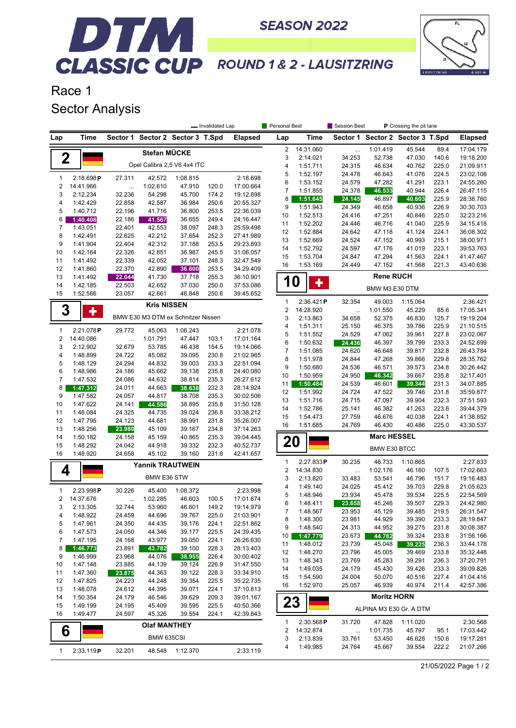

## DTM. **CLASSIC CUP** ROUND 1& 2 - LAUSITZRING

**SEASON 2022** 

Race 1 Sector Analysis

|                |                      | - Invalidated Lap |                                    |                  |                |                        |                           | Personal Best<br>Session Best |                  |                                  | P Crossing the pit lane |                |                        |  |  |
|----------------|----------------------|-------------------|------------------------------------|------------------|----------------|------------------------|---------------------------|-------------------------------|------------------|----------------------------------|-------------------------|----------------|------------------------|--|--|
| Lap            | Time                 |                   | Sector 1 Sector 2 Sector 3 T.Spd   |                  |                | <b>Elapsed</b>         | Lap                       | Time                          |                  | Sector 1 Sector 2 Sector 3 T.Spd |                         |                | <b>Elapsed</b>         |  |  |
|                |                      |                   | Stefan MÜCKE                       |                  |                |                        | 2                         | 14:31.060                     | $\cdots$         | 1:01.419                         | 45.544                  | 89.4           | 17:04.179              |  |  |
| 2              |                      |                   |                                    |                  |                |                        | 3                         | 2:14.021                      | 34.253           | 52.738                           | 47.030                  | 140.6          | 19:18.200              |  |  |
|                |                      |                   | Opel Calibra 2,5 V6 4x4 ITC        |                  |                |                        | 4                         | 1:51.711                      | 24.315           | 46.634                           | 40.762                  | 225.0          | 21:09.911              |  |  |
| $\mathbf{1}$   | 2:18.698P            | 27.311            | 42.572                             | 1:08.815         |                | 2:18.698               | 5                         | 1:52.197                      | 24.478           | 46.643                           | 41.076                  | 224.5          | 23:02.108              |  |  |
| $\overline{2}$ | 14:41.966            | $\ddotsc$         | 1:02.610                           | 47.910           | 120.0          | 17:00.664              | 6                         | 1:53.152                      | 24.579           | 47.282                           | 41.291                  | 223.1          | 24:55.260              |  |  |
| 3              | 2:12.234             | 32.236            | 54.298                             | 45.700           | 174.2          | 19:12.898              | $\overline{7}$            | 1:51.855                      | 24.378           | 46.533                           | 40.944                  | 226.4          | 26:47.115              |  |  |
| 4              | 1:42.429             | 22.858            | 42.587                             | 36.984           | 250.6          | 20:55.327              | 8<br>9                    | 1:51.645                      | 24.145           | 46.897                           | 40.603                  | 225.9          | 28:38.760              |  |  |
| 5              | 1:40.712             | 22.196            | 41.716                             | 36.800           | 253.5          | 22:36.039              | 10                        | 1:51.943<br>1:52.513          | 24.349<br>24.416 | 46.658<br>47.251                 | 40.936<br>40.846        | 226.9<br>225.0 | 30:30.703<br>32:23.216 |  |  |
| 6              | 1:40.408             | 22.186            | 41.567                             | 36.655           | 249.4          | 24:16.447              | 11                        | 1:52.202                      | 24.446           | 46.716                           | 41.040                  | 225.9          | 34:15.418              |  |  |
| 7              | 1:43.051             | 22.401            | 42.553                             | 38.097           | 248.3          | 25:59.498              | 12                        | 1:52.884                      | 24.642           | 47.118                           | 41.124                  | 224.1          | 36:08.302              |  |  |
| 8              | 1:42.491             | 22.625            | 42.212                             | 37.654           | 252.3          | 27:41.989              | 13                        | 1:52.669                      | 24.524           | 47.152                           | 40.993                  | 215.1          | 38:00.971              |  |  |
| 9              | 1:41.904             | 22.404            | 42.312                             | 37.188           | 253.5          | 29:23.893              | 14                        | 1:52.792                      | 24.597           | 47.176                           | 41.019                  | 223.1          | 39:53.763              |  |  |
| 10             | 1:42.164             | 22.326            | 42.851                             | 36.987           | 245.5          | 31:06.057              | 15                        | 1:53.704                      | 24.847           | 47.294                           | 41.563                  | 224.1          | 41:47.467              |  |  |
| 11<br>12       | 1:41.492<br>1:41.860 | 22.339<br>22.370  | 42.052<br>42.890                   | 37.101<br>36.600 | 248.3<br>253.5 | 32:47.549<br>34:29.409 | 16                        | 1:53.169                      | 24.449           | 47.152                           | 41.568                  | 221.3          | 43:40.636              |  |  |
| 13             | 1:41.492             | 22.044            | 41.730                             | 37.718           | 255.3          | 36:10.901              |                           |                               |                  | <b>Rene RUCH</b>                 |                         |                |                        |  |  |
| 14             | 1:42.185             | 22.503            | 42.652                             | 37.030           | 250.0          | 37:53.086              |                           | <b>10</b><br>٠                |                  |                                  |                         |                |                        |  |  |
| 15             | 1:52.566             | 23.057            | 42.661                             | 46.848           | 250.6          | 39:45.652              |                           |                               |                  | BMW M3 E30 DTM                   |                         |                |                        |  |  |
|                |                      |                   |                                    |                  |                |                        | 1                         | 2:36.421P                     | 32.354           | 49.003                           | 1:15.064                |                | 2:36.421               |  |  |
| 3              | ٠                    |                   | <b>Kris NISSEN</b>                 |                  |                |                        | $\overline{\mathbf{c}}$   | 14:28.920                     | $\ldots$         | 1:01.550                         | 45.229                  | 85.6           | 17:05.341              |  |  |
|                |                      |                   | BMW E30 M3 DTM ex Schnitzer Nissen |                  |                |                        | 3                         | 2:13.863                      | 34.658           | 52.375                           | 46.830                  | 125.7          | 19:19.204              |  |  |
| $\mathbf{1}$   | 2:21.078P            | 29.772            | 45.063                             | 1:06.243         |                | 2:21.078               | 4                         | 1:51.311                      | 25.150           | 46.375                           | 39.786                  | 225.9          | 21:10.515              |  |  |
| $\overline{c}$ | 14:40.086            | $\cdots$          | 1:01.791                           | 47.447           | 103.1          | 17:01.164              | 5                         | 1:51.552                      | 24.529           | 47.062                           | 39.961                  | 227.8          | 23:02.067              |  |  |
| 3              | 2:12.902             | 32.679            | 53.785                             | 46.438           | 154.5          | 19:14.066              | 6                         | 1:50.632                      | 24.436           | 46.397                           | 39.799                  | 233.3          | 24:52.699              |  |  |
| 4              | 1:48.899             | 24.722            | 45.082                             | 39.095           | 230.8          | 21:02.965              | $\overline{\mathfrak{c}}$ | 1:51.085                      | 24.620           | 46.648                           | 39.817                  | 232.8          | 26:43.784              |  |  |
| 5              | 1:48.129             | 24.294            | 44.832                             | 39.003           | 233.3          | 22:51.094              | 8                         | 1:51.978                      | 24.844           | 47.268                           | 39.866                  | 229.8          | 28:35.762              |  |  |
| 6              | 1:48.986             | 24.186            | 45.662                             | 39.138           | 235.8          | 24:40.080              | 9                         | 1:50.680                      | 24.536           | 46.571                           | 39.573                  | 234.8          | 30:26.442              |  |  |
| $\overline{7}$ | 1:47.532             | 24.086            | 44.632                             | 38.814           | 235.3          | 26:27.612              | 10                        | 1:50.959                      | 24.950           | 46.342                           | 39.667                  | 235.8          | 32:17.401              |  |  |
| 8              | 1:47.312             | 24.011            | 44.663                             | 38.638           | 232.3          | 28:14.924              | 11<br>12                  | 1:50.484<br>1:51.992          | 24.539<br>24.724 | 46.601<br>47.522                 | 39.344<br>39.746        | 231.3<br>231.8 | 34:07.885<br>35:59.877 |  |  |
| 9              | 1:47.582             | 24.057            | 44.817                             | 38.708           | 235.3          | 30:02.506              | 13                        | 1:51.716                      | 24.715           | 47.097                           | 39.904                  | 232.3          | 37:51.593              |  |  |
| 10             | 1:47.622             | 24.141            | 44.586                             | 38.895           | 235.8          | 31:50.128              | 14                        | 1:52.786                      | 25.141           | 46.382                           | 41.263                  | 223.6          | 39:44.379              |  |  |
| 11             | 1:48.084             | 24.325            | 44.735                             | 39.024           | 236.8          | 33:38.212              | 15                        | 1:54.473                      | 27.759           | 46.676                           | 40.038                  | 224.1          | 41:38.852              |  |  |
| 12             | 1:47.795             | 24.123            | 44.681                             | 38.991           | 231.8          | 35:26.007              | 16                        | 1:51.685                      | 24.769           | 46.430                           | 40.486                  | 225.0          | 43:30.537              |  |  |
| 13             | 1:48.256             | 23.980            | 45.109                             | 39.167           | 234.8          | 37:14.263              |                           |                               |                  | <b>Marc HESSEL</b>               |                         |                |                        |  |  |
| 14<br>15       | 1:50.182<br>1:48.292 | 24.158<br>24.042  | 45.159<br>44.918                   | 40.865<br>39.332 | 235.3<br>232.3 | 39:04.445<br>40:52.737 |                           | 20                            |                  |                                  |                         |                |                        |  |  |
| 16             | 1:48.920             | 24.658            | 45.102                             | 39.160           | 231.8          | 42:41.657              |                           |                               |                  | BMW E30 BTCC                     |                         |                |                        |  |  |
|                |                      |                   |                                    |                  |                |                        | $\mathbf{1}$              | 2:27.833P                     | 30.235           | 46.733                           | 1:10.865                |                | 2:27.833               |  |  |
| 4              |                      |                   | <b>Yannik TRAUTWEIN</b>            |                  |                |                        | $\overline{2}$            | 14:34.830                     | $\cdots$         | 1:02.176                         | 46.160                  | 107.5          | 17:02.663              |  |  |
|                |                      |                   | BMW E36 STW                        |                  |                |                        | 3                         | 2:13.820                      | 33.483           | 53.541                           | 46.796                  | 151.7          | 19:16.483              |  |  |
| $\mathbf{1}$   | 2:23.998P            | 30.226            | 45.400                             | 1:08.372         |                | 2:23.998               | 4                         | 1:49.140                      | 24.025           | 45.412                           | 39.703                  | 229.8          | 21:05.623              |  |  |
| $\overline{2}$ | 14:37.676            |                   | 1:02.285                           | 46.603           | 100.5          | 17:01.674              | 5                         | 1:48.946                      | 23.934           | 45.478                           | 39.534                  | 225.5          | 22:54.569              |  |  |
| 3              | 2:13.305             | 32.744            | 53.960                             | 46.601           | 149.2          | 19:14.979              | 6                         | 1:48.411                      | 23.658           | 45.246                           | 39.507                  | 229.3          | 24:42.980              |  |  |
| 4              | 1:48.922             | 24.459            | 44.696                             | 39.767           | 225.0          | 21:03.901              | 7                         | 1:48.567                      | 23.953           | 45.129                           | 39.485                  | 219.5          | 26:31.547              |  |  |
| 5              | 1:47.961             | 24.350            | 44.435                             | 39.176           | 224.1          | 22:51.862              | 8                         | 1:48.300                      | 23.981           | 44.929                           | 39.390                  | 233.3          | 28:19.847              |  |  |
| 6              | 1:47.573             | 24.050            | 44.346                             | 39.177           | 225.5          | 24:39.435              | 9                         | 1:48.540                      | 24.313           | 44.952                           | 39.275                  | 231.8          | 30:08.387              |  |  |
| 7              | 1:47.195             | 24.168            | 43.977                             | 39.050           | 224.1          | 26:26.630              | 10<br>11                  | 1:47.779<br>1:48.012          | 23.673<br>23.739 | 44.782<br>45.048                 | 39.324<br>39.225        | 233.8<br>236.3 | 31:56.166<br>33:44.178 |  |  |
| 8              | 1:46.773             | 23.891            | 43.782                             | 39.100           | 228.3          | 28:13.403              | 12                        | 1:48.270                      | 23.796           | 45.005                           | 39.469                  | 233.8          | 35:32.448              |  |  |
| 9              | 1:46.999             | 23.968            | 44.076                             | 38.955           | 226.4          | 30:00.402              | 13                        | 1:48.343                      | 23.769           | 45.283                           | 39.291                  | 236.3          | 37:20.791              |  |  |
| 10             | 1:47.148             | 23.885            | 44.139                             | 39.124           | 226.9          | 31:47.550              | 14                        | 1:49.035                      | 24.179           | 45.430                           | 39.426                  | 233.3          | 39:09.826              |  |  |
| 11             | 1:47.360             | 23.875            | 44.363                             | 39.122           | 228.3          | 33:34.910              | 15                        | 1:54.590                      | 24.004           | 50.070                           | 40.516                  | 227.4          | 41:04.416              |  |  |
| 12             | 1:47.825             | 24.223            | 44.248                             | 39.354           | 225.5          | 35:22.735              | 16                        | 1:52.970                      | 25.057           | 46.939                           | 40.974                  | 211.4          | 42:57.386              |  |  |
| 13<br>14       | 1:48.078<br>1:50.354 | 24.612<br>24.179  | 44.395<br>46.546                   | 39.071<br>39.629 | 224.1<br>209.3 | 37:10.813<br>39:01.167 |                           |                               |                  | <b>Moritz HORN</b>               |                         |                |                        |  |  |
| 15             | 1:49.199             | 24.195            | 45.409                             | 39.595           | 225.5          | 40:50.366              |                           | 23                            |                  |                                  |                         |                |                        |  |  |
| 16             | 1:49.477             | 24.597            | 45.326                             | 39.554           | 224.1          | 42:39.843              |                           |                               |                  | ALPINA M3 E30 Gr. A DTM          |                         |                |                        |  |  |
|                |                      |                   | <b>Olaf MANTHEY</b>                |                  |                |                        | 1                         | 2:30.568P                     | 31.720           | 47.828                           | 1:11.020                |                | 2:30.568               |  |  |
| 6              |                      |                   |                                    |                  |                |                        | 2                         | 14:32.874                     | $\ldots$         | 1:01.735                         | 45.797                  | 95.1           | 17:03.442              |  |  |
|                |                      |                   | BMW 635CSI                         |                  |                |                        | 3                         | 2:13.839                      | 33.761           | 53.450                           | 46.628                  | 150.6          | 19:17.281              |  |  |
| $\mathbf{1}$   | 2:33.119P            | 32.201            | 48.548                             | 1:12.370         |                | 2:33.119               | 4                         | 1:49.985                      | 24.764           | 45.667                           | 39.554                  | 222.2          | 21:07.266              |  |  |
|                |                      |                   |                                    |                  |                |                        |                           |                               |                  |                                  |                         |                |                        |  |  |

21/05/2022 Page 1 / 2